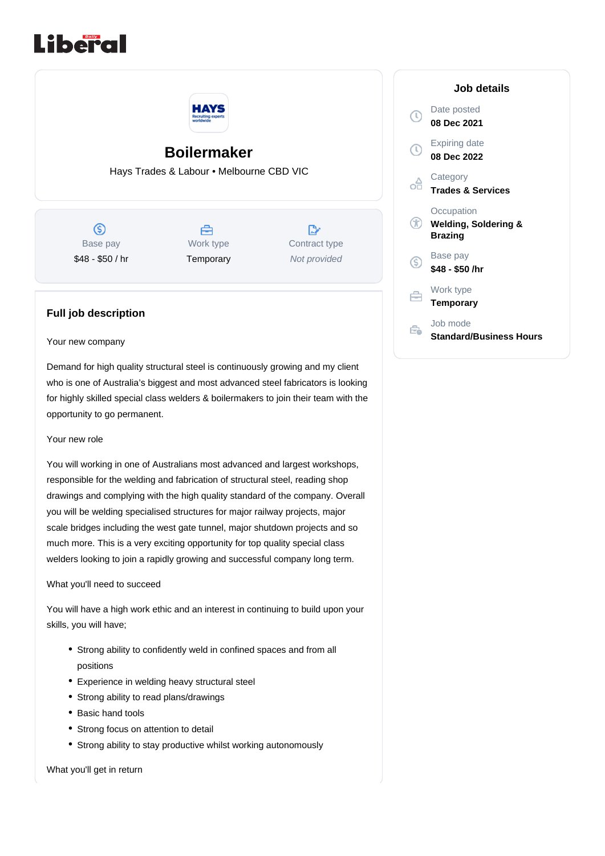



# **Boilermaker**

Hays Trades & Labour • Melbourne CBD VIC

 $\circledS$ Base pay \$48 - \$50 / hr



 $\mathbb{R}$ Contract type Not provided

# **Full job description**

#### Your new company

Demand for high quality structural steel is continuously growing and my client who is one of Australia's biggest and most advanced steel fabricators is looking for highly skilled special class welders & boilermakers to join their team with the opportunity to go permanent.

## Your new role

You will working in one of Australians most advanced and largest workshops, responsible for the welding and fabrication of structural steel, reading shop drawings and complying with the high quality standard of the company. Overall you will be welding specialised structures for major railway projects, major scale bridges including the west gate tunnel, major shutdown projects and so much more. This is a very exciting opportunity for top quality special class welders looking to join a rapidly growing and successful company long term.

## What you'll need to succeed

You will have a high work ethic and an interest in continuing to build upon your skills, you will have;

- Strong ability to confidently weld in confined spaces and from all positions
- Experience in welding heavy structural steel
- Strong ability to read plans/drawings
- Basic hand tools
- Strong focus on attention to detail
- Strong ability to stay productive whilst working autonomously

What you'll get in return